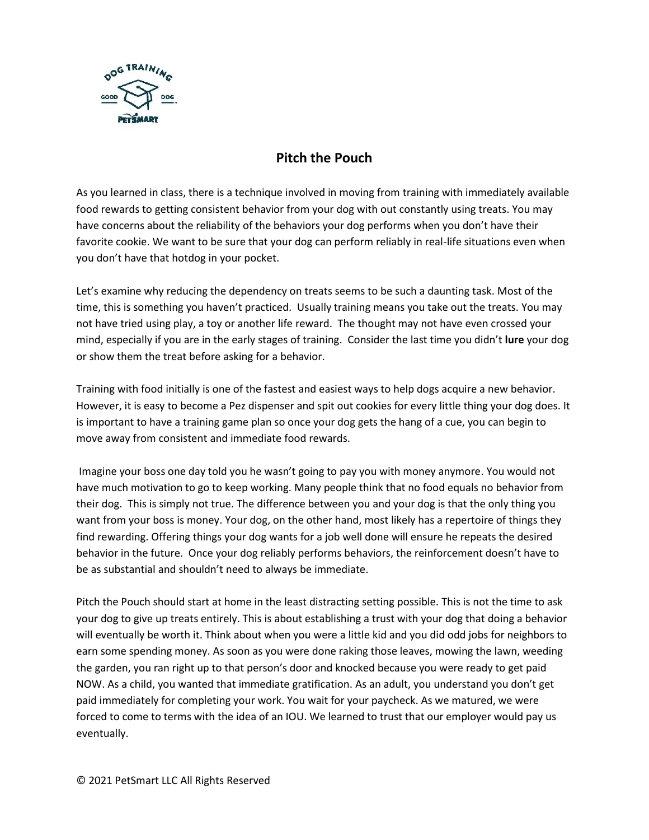

## **Pitch the Pouch**

As you learned in class, there is a technique involved in moving from training with immediately available food rewards to getting consistent behavior from your dog with out constantly using treats. You may have concerns about the reliability of the behaviors your dog performs when you don't have their favorite cookie. We want to be sure that your dog can perform reliably in real-life situations even when you don't have that hotdog in your pocket.

Let's examine why reducing the dependency on treats seems to be such a daunting task. Most of the time, this is something you haven't practiced. Usually training means you take out the treats. You may not have tried using play, a toy or another life reward. The thought may not have even crossed your mind, especially if you are in the early stages of training. Consider the last time you didn't **lure** your dog or show them the treat before asking for a behavior.

Training with food initially is one of the fastest and easiest ways to help dogs acquire a new behavior. However, it is easy to become a Pez dispenser and spit out cookies for every little thing your dog does. It is important to have a training game plan so once your dog gets the hang of a cue, you can begin to move away from consistent and immediate food rewards.

Imagine your boss one day told you he wasn't going to pay you with money anymore. You would not have much motivation to go to keep working. Many people think that no food equals no behavior from their dog. This is simply not true. The difference between you and your dog is that the only thing you want from your boss is money. Your dog, on the other hand, most likely has a repertoire of things they find rewarding. Offering things your dog wants for a job well done will ensure he repeats the desired behavior in the future. Once your dog reliably performs behaviors, the reinforcement doesn't have to be as substantial and shouldn't need to always be immediate.

Pitch the Pouch should start at home in the least distracting setting possible. This is not the time to ask your dog to give up treats entirely. This is about establishing a trust with your dog that doing a behavior will eventually be worth it. Think about when you were a little kid and you did odd jobs for neighbors to earn some spending money. As soon as you were done raking those leaves, mowing the lawn, weeding the garden, you ran right up to that person's door and knocked because you were ready to get paid NOW. As a child, you wanted that immediate gratification. As an adult, you understand you don't get paid immediately for completing your work. You wait for your paycheck. As we matured, we were forced to come to terms with the idea of an IOU. We learned to trust that our employer would pay us eventually.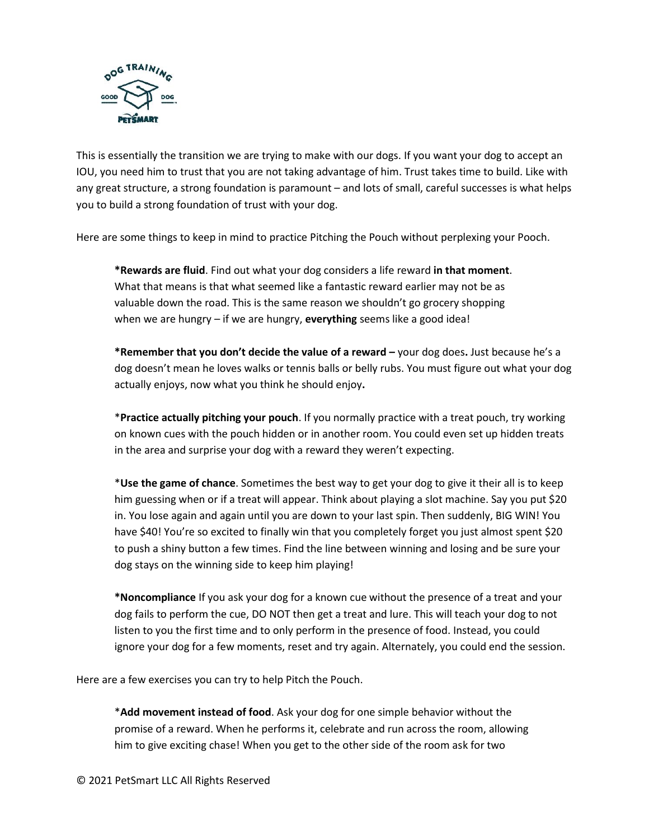

This is essentially the transition we are trying to make with our dogs. If you want your dog to accept an IOU, you need him to trust that you are not taking advantage of him. Trust takes time to build. Like with any great structure, a strong foundation is paramount – and lots of small, careful successes is what helps you to build a strong foundation of trust with your dog.

Here are some things to keep in mind to practice Pitching the Pouch without perplexing your Pooch.

**\*Rewards are fluid**. Find out what your dog considers a life reward **in that moment**. What that means is that what seemed like a fantastic reward earlier may not be as valuable down the road. This is the same reason we shouldn't go grocery shopping when we are hungry – if we are hungry, **everything** seems like a good idea!

**\*Remember that you don't decide the value of a reward –** your dog does**.** Just because he's a dog doesn't mean he loves walks or tennis balls or belly rubs. You must figure out what your dog actually enjoys, now what you think he should enjoy**.**

\***Practice actually pitching your pouch**. If you normally practice with a treat pouch, try working on known cues with the pouch hidden or in another room. You could even set up hidden treats in the area and surprise your dog with a reward they weren't expecting.

\***Use the game of chance**. Sometimes the best way to get your dog to give it their all is to keep him guessing when or if a treat will appear. Think about playing a slot machine. Say you put \$20 in. You lose again and again until you are down to your last spin. Then suddenly, BIG WIN! You have \$40! You're so excited to finally win that you completely forget you just almost spent \$20 to push a shiny button a few times. Find the line between winning and losing and be sure your dog stays on the winning side to keep him playing!

**\*Noncompliance** If you ask your dog for a known cue without the presence of a treat and your dog fails to perform the cue, DO NOT then get a treat and lure. This will teach your dog to not listen to you the first time and to only perform in the presence of food. Instead, you could ignore your dog for a few moments, reset and try again. Alternately, you could end the session.

Here are a few exercises you can try to help Pitch the Pouch.

\***Add movement instead of food**. Ask your dog for one simple behavior without the promise of a reward. When he performs it, celebrate and run across the room, allowing him to give exciting chase! When you get to the other side of the room ask for two